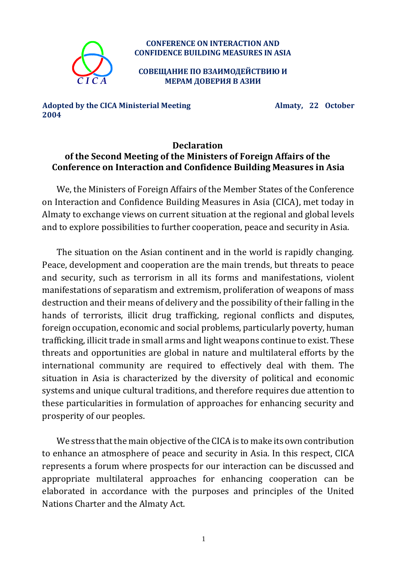

## **CONFERENCE ON INTERACTION AND CONFIDENCE BUILDING MEASURES IN ASIA**

**СОВЕЩАНИЕ ПО ВЗАИМОДЕЙСТВИЮ И МЕРАМ ДОВЕРИЯ В АЗИИ**

**Adopted by the CICA Ministerial Meeting Almaty, 22 October 2004**

## **Declaration of the Second Meeting of the Ministers of Foreign Affairs of the Conference on Interaction and Confidence Building Measures in Asia**

We, the Ministers of Foreign Affairs of the Member States of the Conference on Interaction and Confidence Building Measures in Asia (CICA), met today in Almaty to exchange views on current situation at the regional and global levels and to explore possibilities to further cooperation, peace and security in Asia.

The situation on the Asian continent and in the world is rapidly changing. Peace, development and cooperation are the main trends, but threats to peace and security, such as terrorism in all its forms and manifestations, violent manifestations of separatism and extremism, proliferation of weapons of mass destruction and their means of delivery and the possibility of their falling in the hands of terrorists, illicit drug trafficking, regional conflicts and disputes, foreign occupation, economic and social problems, particularly poverty, human trafficking, illicit trade in small arms and light weapons continue to exist. These threats and opportunities are global in nature and multilateral efforts by the international community are required to effectively deal with them. The situation in Asia is characterized by the diversity of political and economic systems and unique cultural traditions, and therefore requires due attention to these particularities in formulation of approaches for enhancing security and prosperity of our peoples.

We stress that the main objective of the CICA is to make its own contribution to enhance an atmosphere of peace and security in Asia. In this respect, CICA represents a forum where prospects for our interaction can be discussed and appropriate multilateral approaches for enhancing cooperation can be elaborated in accordance with the purposes and principles of the United Nations Charter and the Almaty Act.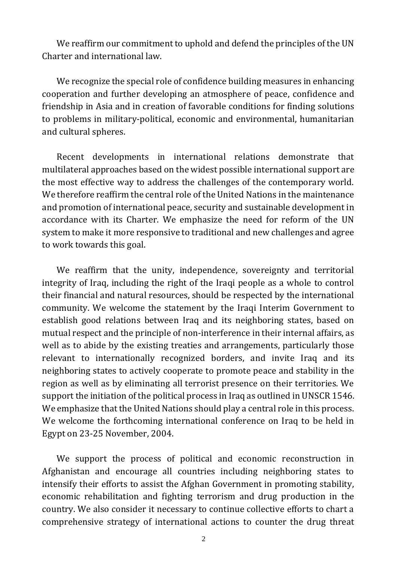We reaffirm our commitment to uphold and defend the principles of the UN Charter and international law.

We recognize the special role of confidence building measures in enhancing cooperation and further developing an atmosphere of peace, confidence and friendship in Asia and in creation of favorable conditions for finding solutions to problems in military-political, economic and environmental, humanitarian and cultural spheres.

Recent developments in international relations demonstrate that multilateral approaches based on the widest possible international support are the most effective way to address the challenges of the contemporary world. We therefore reaffirm the central role of the United Nations in the maintenance and promotion of international peace, security and sustainable development in accordance with its Charter. We emphasize the need for reform of the UN system to make it more responsive to traditional and new challenges and agree to work towards this goal.

We reaffirm that the unity, independence, sovereignty and territorial integrity of Iraq, including the right of the Iraqi people as a whole to control their financial and natural resources, should be respected by the international community. We welcome the statement by the Iraqi Interim Government to establish good relations between Iraq and its neighboring states, based on mutual respect and the principle of non-interference in their internal affairs, as well as to abide by the existing treaties and arrangements, particularly those relevant to internationally recognized borders, and invite Iraq and its neighboring states to actively cooperate to promote peace and stability in the region as well as by eliminating all terrorist presence on their territories. We support the initiation of the political process in Iraq as outlined in UNSCR 1546. We emphasize that the United Nations should play a central role in this process. We welcome the forthcoming international conference on Iraq to be held in Egypt on 23-25 November, 2004.

We support the process of political and economic reconstruction in Afghanistan and encourage all countries including neighboring states to intensify their efforts to assist the Afghan Government in promoting stability, economic rehabilitation and fighting terrorism and drug production in the country. We also consider it necessary to continue collective efforts to chart a comprehensive strategy of international actions to counter the drug threat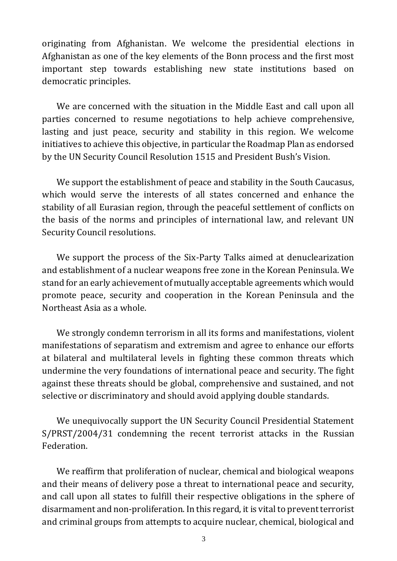originating from Afghanistan. We welcome the presidential elections in Afghanistan as one of the key elements of the Bonn process and the first most important step towards establishing new state institutions based on democratic principles.

We are concerned with the situation in the Middle East and call upon all parties concerned to resume negotiations to help achieve comprehensive, lasting and just peace, security and stability in this region. We welcome initiatives to achieve this objective, in particular the Roadmap Plan as endorsed by the UN Security Council Resolution 1515 and President Bush's Vision.

We support the establishment of peace and stability in the South Caucasus, which would serve the interests of all states concerned and enhance the stability of all Eurasian region, through the peaceful settlement of conflicts on the basis of the norms and principles of international law, and relevant UN Security Council resolutions.

We support the process of the Six-Party Talks aimed at denuclearization and establishment of a nuclear weapons free zone in the Korean Peninsula. We stand for an early achievement of mutually acceptable agreements which would promote peace, security and cooperation in the Korean Peninsula and the Northeast Asia as a whole.

We strongly condemn terrorism in all its forms and manifestations, violent manifestations of separatism and extremism and agree to enhance our efforts at bilateral and multilateral levels in fighting these common threats which undermine the very foundations of international peace and security. The fight against these threats should be global, comprehensive and sustained, and not selective or discriminatory and should avoid applying double standards.

We unequivocally support the UN Security Council Presidential Statement S/PRST/2004/31 condemning the recent terrorist attacks in the Russian Federation.

We reaffirm that proliferation of nuclear, chemical and biological weapons and their means of delivery pose a threat to international peace and security, and call upon all states to fulfill their respective obligations in the sphere of disarmament and non-proliferation. In this regard, it is vital to prevent terrorist and criminal groups from attempts to acquire nuclear, chemical, biological and